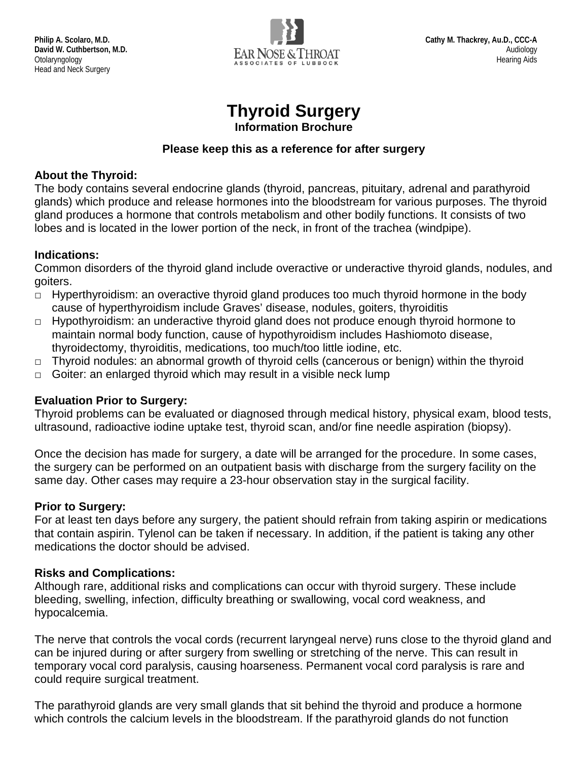

# **Thyroid Surgery**

**Information Brochure**

#### **Please keep this as a reference for after surgery**

#### **About the Thyroid:**

The body contains several endocrine glands (thyroid, pancreas, pituitary, adrenal and parathyroid glands) which produce and release hormones into the bloodstream for various purposes. The thyroid gland produces a hormone that controls metabolism and other bodily functions. It consists of two lobes and is located in the lower portion of the neck, in front of the trachea (windpipe).

#### **Indications:**

Common disorders of the thyroid gland include overactive or underactive thyroid glands, nodules, and goiters.

- $\Box$  Hyperthyroidism: an overactive thyroid gland produces too much thyroid hormone in the body cause of hyperthyroidism include Graves' disease, nodules, goiters, thyroiditis
- □ Hypothyroidism: an underactive thyroid gland does not produce enough thyroid hormone to maintain normal body function, cause of hypothyroidism includes Hashiomoto disease, thyroidectomy, thyroiditis, medications, too much/too little iodine, etc.
- $\Box$  Thyroid nodules: an abnormal growth of thyroid cells (cancerous or benign) within the thyroid
- $\Box$  Goiter: an enlarged thyroid which may result in a visible neck lump

# **Evaluation Prior to Surgery:**

Thyroid problems can be evaluated or diagnosed through medical history, physical exam, blood tests, ultrasound, radioactive iodine uptake test, thyroid scan, and/or fine needle aspiration (biopsy).

Once the decision has made for surgery, a date will be arranged for the procedure. In some cases, the surgery can be performed on an outpatient basis with discharge from the surgery facility on the same day. Other cases may require a 23-hour observation stay in the surgical facility.

# **Prior to Surgery:**

For at least ten days before any surgery, the patient should refrain from taking aspirin or medications that contain aspirin. Tylenol can be taken if necessary. In addition, if the patient is taking any other medications the doctor should be advised.

# **Risks and Complications:**

Although rare, additional risks and complications can occur with thyroid surgery. These include bleeding, swelling, infection, difficulty breathing or swallowing, vocal cord weakness, and hypocalcemia.

The nerve that controls the vocal cords (recurrent laryngeal nerve) runs close to the thyroid gland and can be injured during or after surgery from swelling or stretching of the nerve. This can result in temporary vocal cord paralysis, causing hoarseness. Permanent vocal cord paralysis is rare and could require surgical treatment.

The parathyroid glands are very small glands that sit behind the thyroid and produce a hormone which controls the calcium levels in the bloodstream. If the parathyroid glands do not function